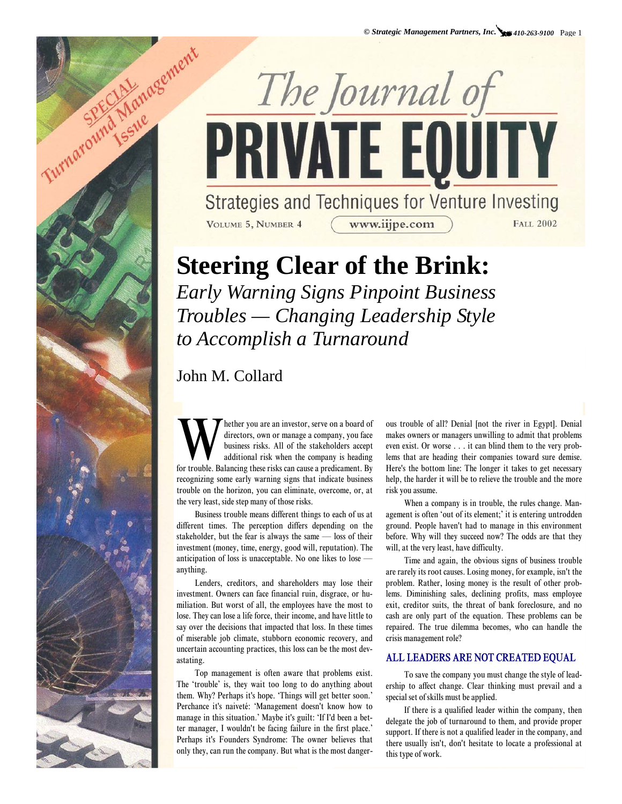**FALL 2002** 



*Early Warning Signs Pinpoint Business Troubles — Changing Leadership Style to Accomplish a Turnaround* 

# John M. Collard

**W** hether you are an investor, serve on a board of directors, own or manage a company, you face business risks. All of the stakeholders accept additional risk when the company is heading for trouble. Balancing these risks directors, own or manage a company, you face business risks. All of the stakeholders accept additional risk when the company is heading recognizing some early warning signs that indicate business trouble on the horizon, you can eliminate, overcome, or, at the very least, side step many of those risks.

Business trouble means different things to each of us at different times. The perception differs depending on the stakeholder, but the fear is always the same — loss of their investment (money, time, energy, good will, reputation). The anticipation of loss is unacceptable. No one likes to lose anything.

Lenders, creditors, and shareholders may lose their investment. Owners can face financial ruin, disgrace, or humiliation. But worst of all, the employees have the most to lose. They can lose a life force, their income, and have little to say over the decisions that impacted that loss. In these times of miserable job climate, stubborn economic recovery, and uncertain accounting practices, this loss can be the most devastating.

Top management is often aware that problems exist. The 'trouble' is, they wait too long to do anything about them. Why? Perhaps it's hope. 'Things will get better soon.' Perchance it's naiveté: 'Management doesn't know how to manage in this situation.' Maybe it's guilt: 'If I'd been a better manager, I wouldn't be facing failure in the first place.' Perhaps it's Founders Syndrome: The owner believes that only they, can run the company. But what is the most dangerous trouble of all? Denial [not the river in Egypt]. Denial makes owners or managers unwilling to admit that problems even exist. Or worse . . . it can blind them to the very problems that are heading their companies toward sure demise. Here's the bottom line: The longer it takes to get necessary help, the harder it will be to relieve the trouble and the more risk you assume.

When a company is in trouble, the rules change. Management is often 'out of its element;' it is entering untrodden ground. People haven't had to manage in this environment before. Why will they succeed now? The odds are that they will, at the very least, have difficulty.

Time and again, the obvious signs of business trouble are rarely its root causes. Losing money, for example, isn't the problem. Rather, losing money is the result of other problems. Diminishing sales, declining profits, mass employee exit, creditor suits, the threat of bank foreclosure, and no cash are only part of the equation. These problems can be repaired. The true dilemma becomes, who can handle the crisis management role?

#### ALL LEADERS ARE NOT CREATED EQUAL

To save the company you must change the style of leadership to affect change. Clear thinking must prevail and a special set of skills must be applied.

If there is a qualified leader within the company, then delegate the job of turnaround to them, and provide proper support. If there is not a qualified leader in the company, and there usually isn't, don't hesitate to locate a professional at this type of work.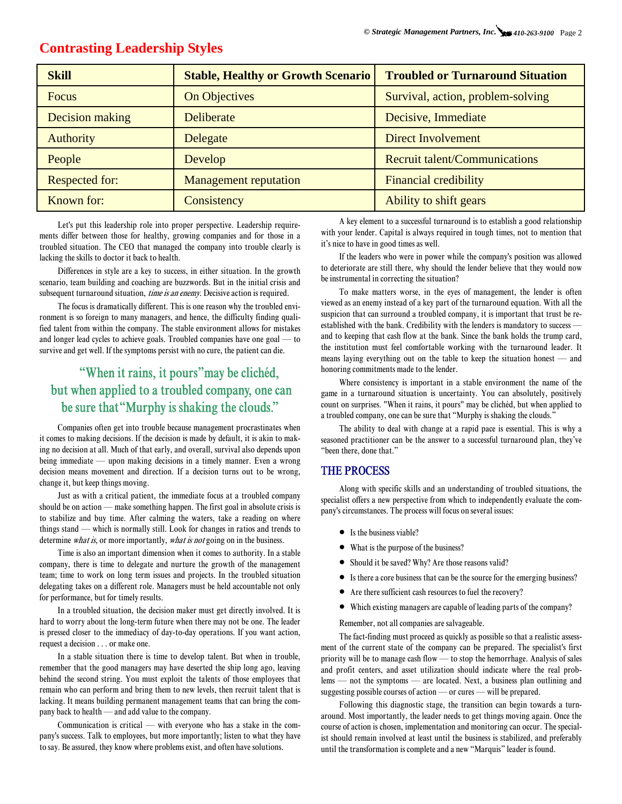| <b>Skill</b>           | <b>Stable, Healthy or Growth Scenario</b> | <b>Troubled or Turnaround Situation</b> |
|------------------------|-------------------------------------------|-----------------------------------------|
| Focus                  | <b>On Objectives</b>                      | Survival, action, problem-solving       |
| <b>Decision making</b> | <b>Deliberate</b>                         | Decisive, Immediate                     |
| <b>Authority</b>       | Delegate                                  | <b>Direct Involvement</b>               |
| People                 | Develop                                   | <b>Recruit talent/Communications</b>    |
| <b>Respected for:</b>  | <b>Management reputation</b>              | <b>Financial credibility</b>            |
| Known for:             | Consistency                               | Ability to shift gears                  |

### **Contrasting Leadership Styles**

Let's put this leadership role into proper perspective. Leadership requirements differ between those for healthy, growing companies and for those in a troubled situation. The CEO that managed the company into trouble clearly is lacking the skills to doctor it back to health.

Differences in style are a key to success, in either situation. In the growth scenario, team building and coaching are buzzwords. But in the initial crisis and subsequent turnaround situation, time is an enemy. Decisive action is required.

The focus is dramatically different. This is one reason why the troubled environment is so foreign to many managers, and hence, the difficulty finding qualified talent from within the company. The stable environment allows for mistakes and longer lead cycles to achieve goals. Troubled companies have one goal — to survive and get well. If the symptoms persist with no cure, the patient can die.

## "When it rains, it pours" may be clichéd, but when applied to a troubled company, one can be sure that "Murphy is shaking the clouds."

Companies often get into trouble because management procrastinates when it comes to making decisions. If the decision is made by default, it is akin to making no decision at all. Much of that early, and overall, survival also depends upon being immediate — upon making decisions in a timely manner. Even a wrong decision means movement and direction. If a decision turns out to be wrong, change it, but keep things moving.

Just as with a critical patient, the immediate focus at a troubled company should be on action — make something happen. The first goal in absolute crisis is to stabilize and buy time. After calming the waters, take a reading on where things stand — which is normally still. Look for changes in ratios and trends to determine what is, or more importantly, what is not going on in the business.

Time is also an important dimension when it comes to authority. In a stable company, there is time to delegate and nurture the growth of the management team; time to work on long term issues and projects. In the troubled situation delegating takes on a different role. Managers must be held accountable not only for performance, but for timely results.

In a troubled situation, the decision maker must get directly involved. It is hard to worry about the long-term future when there may not be one. The leader is pressed closer to the immediacy of day-to-day operations. If you want action, request a decision . . . or make one.

In a stable situation there is time to develop talent. But when in trouble, remember that the good managers may have deserted the ship long ago, leaving behind the second string. You must exploit the talents of those employees that remain who can perform and bring them to new levels, then recruit talent that is lacking. It means building permanent management teams that can bring the company back to health — and add value to the company.

Communication is critical — with everyone who has a stake in the company's success. Talk to employees, but more importantly; listen to what they have to say. Be assured, they know where problems exist, and often have solutions.

A key element to a successful turnaround is to establish a good relationship with your lender. Capital is always required in tough times, not to mention that it's nice to have in good times as well.

If the leaders who were in power while the company's position was allowed to deteriorate are still there, why should the lender believe that they would now be instrumental in correcting the situation?

To make matters worse, in the eyes of management, the lender is often viewed as an enemy instead of a key part of the turnaround equation. With all the suspicion that can surround a troubled company, it is important that trust be reestablished with the bank. Credibility with the lenders is mandatory to success and to keeping that cash flow at the bank. Since the bank holds the trump card, the institution must feel comfortable working with the turnaround leader. It means laying everything out on the table to keep the situation honest — and honoring commitments made to the lender.

Where consistency is important in a stable environment the name of the game in a turnaround situation is uncertainty. You can absolutely, positively count on surprises. "When it rains, it pours" may be clichéd, but when applied to a troubled company, one can be sure that "Murphy is shaking the clouds."

The ability to deal with change at a rapid pace is essential. This is why a seasoned practitioner can be the answer to a successful turnaround plan, they've "been there, done that."

#### THE PROCESS

Along with specific skills and an understanding of troubled situations, the specialist offers a new perspective from which to independently evaluate the company's circumstances. The process will focus on several issues:

- Is the business viable?
- What is the purpose of the business?
- Should it be saved? Why? Are those reasons valid?
- Is there a core business that can be the source for the emerging business?
- Are there sufficient cash resources to fuel the recovery?
- Which existing managers are capable of leading parts of the company?

Remember, not all companies are salvageable.

The fact-finding must proceed as quickly as possible so that a realistic assessment of the current state of the company can be prepared. The specialist's first priority will be to manage cash flow — to stop the hemorrhage. Analysis of sales and profit centers, and asset utilization should indicate where the real problems — not the symptoms — are located. Next, a business plan outlining and suggesting possible courses of action — or cures — will be prepared.

Following this diagnostic stage, the transition can begin towards a turnaround. Most importantly, the leader needs to get things moving again. Once the course of action is chosen, implementation and monitoring can occur. The specialist should remain involved at least until the business is stabilized, and preferably until the transformation is complete and a new "Marquis" leader is found.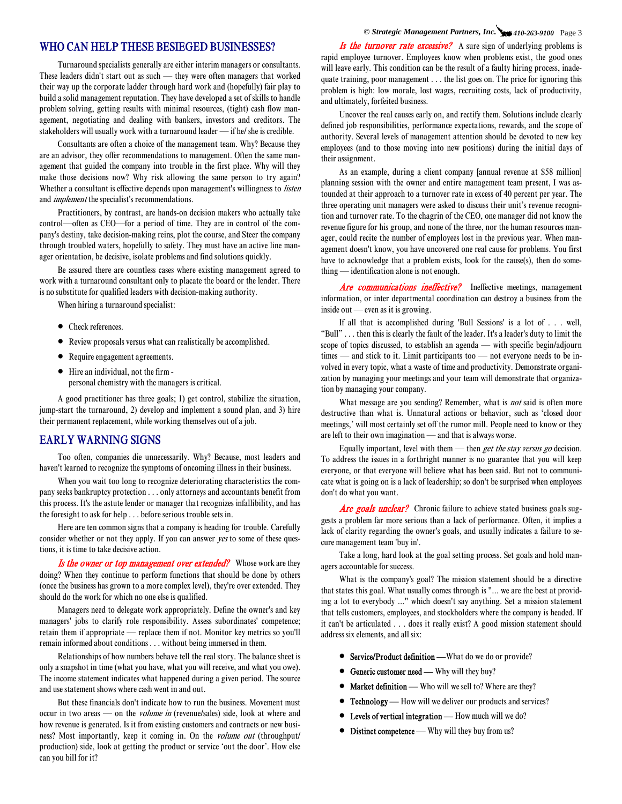#### WHO CAN HELP THESE BESIEGED BUSINESSES?

Turnaround specialists generally are either interim managers or consultants. These leaders didn't start out as such — they were often managers that worked their way up the corporate ladder through hard work and (hopefully) fair play to build a solid management reputation. They have developed a set of skills to handle problem solving, getting results with minimal resources, (tight) cash flow management, negotiating and dealing with bankers, investors and creditors. The stakeholders will usually work with a turnaround leader — if he/ she is credible.

Consultants are often a choice of the management team. Why? Because they are an advisor, they offer recommendations to management. Often the same management that guided the company into trouble in the first place. Why will they make those decisions now? Why risk allowing the same person to try again? Whether a consultant is effective depends upon management's willingness to *listen* and implement the specialist's recommendations.

Practitioners, by contrast, are hands-on decision makers who actually take control—often as CEO—for a period of time. They are in control of the company's destiny, take decision-making reins, plot the course, and Steer the company through troubled waters, hopefully to safety. They must have an active line manager orientation, be decisive, isolate problems and find solutions quickly.

Be assured there are countless cases where existing management agreed to work with a turnaround consultant only to placate the board or the lender. There is no substitute for qualified leaders with decision-making authority.

When hiring a turnaround specialist:

- Check references.
- Review proposals versus what can realistically be accomplished.
- Require engagement agreements.
- Hire an individual, not the firm personal chemistry with the managers is critical.

A good practitioner has three goals; 1) get control, stabilize the situation, jump-start the turnaround, 2) develop and implement a sound plan, and 3) hire their permanent replacement, while working themselves out of a job.

#### EARLY WARNING SIGNS

Too often, companies die unnecessarily. Why? Because, most leaders and haven't learned to recognize the symptoms of oncoming illness in their business.

When you wait too long to recognize deteriorating characteristics the company seeks bankruptcy protection . . . only attorneys and accountants benefit from this process. It's the astute lender or manager that recognizes infallibility, and has the foresight to ask for help . . . before serious trouble sets in.

Here are ten common signs that a company is heading for trouble. Carefully consider whether or not they apply. If you can answer yes to some of these questions, it is time to take decisive action.

Is the owner or top management over extended? Whose work are they doing? When they continue to perform functions that should be done by others (once the business has grown to a more complex level), they're over extended. They should do the work for which no one else is qualified.

Managers need to delegate work appropriately. Define the owner's and key managers' jobs to clarify role responsibility. Assess subordinates' competence; retain them if appropriate — replace them if not. Monitor key metrics so you'll remain informed about conditions . . . without being immersed in them.

Relationships of how numbers behave tell the real story. The balance sheet is only a snapshot in time (what you have, what you will receive, and what you owe). The income statement indicates what happened during a given period. The source and use statement shows where cash went in and out.

But these financials don't indicate how to run the business. Movement must occur in two areas — on the volume in (revenue/sales) side, look at where and how revenue is generated. Is it from existing customers and contracts or new business? Most importantly, keep it coming in. On the *volume out* (throughput/ production) side, look at getting the product or service 'out the door'. How else can you bill for it?

*© Strategic Management Partners, Inc. 410-263-9100* Page 3

**Is the turnover rate excessive?** A sure sign of underlying problems is rapid employee turnover. Employees know when problems exist, the good ones will leave early. This condition can be the result of a faulty hiring process, inadequate training, poor management . . . the list goes on. The price for ignoring this problem is high: low morale, lost wages, recruiting costs, lack of productivity, and ultimately, forfeited business.

Uncover the real causes early on, and rectify them. Solutions include clearly defined job responsibilities, performance expectations, rewards, and the scope of authority. Several levels of management attention should be devoted to new key employees (and to those moving into new positions) during the initial days of their assignment.

As an example, during a client company [annual revenue at \$58 million] planning session with the owner and entire management team present, I was astounded at their approach to a turnover rate in excess of 40 percent per year. The three operating unit managers were asked to discuss their unit's revenue recognition and turnover rate. To the chagrin of the CEO, one manager did not know the revenue figure for his group, and none of the three, nor the human resources manager, could recite the number of employees lost in the previous year. When management doesn't know, you have uncovered one real cause for problems. You first have to acknowledge that a problem exists, look for the cause(s), then do something — identification alone is not enough.

Are communications ineffective? Ineffective meetings, management information, or inter departmental coordination can destroy a business from the inside out — even as it is growing.

If all that is accomplished during 'Bull Sessions' is a lot of . . . well, "Bull" . . . then this is clearly the fault of the leader. It's a leader's duty to limit the scope of topics discussed, to establish an agenda — with specific begin/adjourn times — and stick to it. Limit participants too — not everyone needs to be involved in every topic, what a waste of time and productivity. Demonstrate organization by managing your meetings and your team will demonstrate that organization by managing your company.

What message are you sending? Remember, what is *not* said is often more destructive than what is. Unnatural actions or behavior, such as 'closed door meetings,' will most certainly set off the rumor mill. People need to know or they are left to their own imagination — and that is always worse.

Equally important, level with them  $-$  then *get the stay versus go* decision. To address the issues in a forthright manner is no guarantee that you will keep everyone, or that everyone will believe what has been said. But not to communicate what is going on is a lack of leadership; so don't be surprised when employees don't do what you want.

Are goals unclear? Chronic failure to achieve stated business goals suggests a problem far more serious than a lack of performance. Often, it implies a lack of clarity regarding the owner's goals, and usually indicates a failure to secure management team 'buy in'.

Take a long, hard look at the goal setting process. Set goals and hold managers accountable for success.

What is the company's goal? The mission statement should be a directive that states this goal. What usually comes through is "... we are the best at providing a lot to everybody ..." which doesn't say anything. Set a mission statement that tells customers, employees, and stockholders where the company is headed. If it can't be articulated . . . does it really exist? A good mission statement should address six elements, and all six:

- Service/Product definition —What do we do or provide?
- Generic customer need Why will they buy?
- Market definition Who will we sell to? Where are they?
- **Technology** How will we deliver our products and services?
- Levels of vertical integration How much will we do?
- Distinct competence Why will they buy from us?